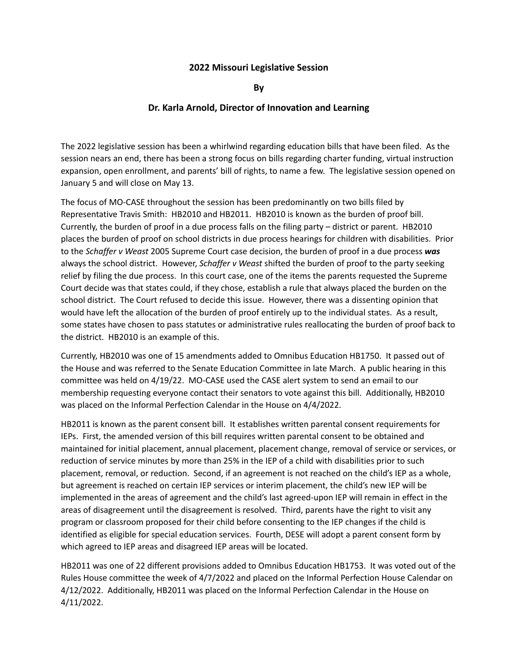## **2022 Missouri Legislative Session**

**By**

## **Dr. Karla Arnold, Director of Innovation and Learning**

The 2022 legislative session has been a whirlwind regarding education bills that have been filed. As the session nears an end, there has been a strong focus on bills regarding charter funding, virtual instruction expansion, open enrollment, and parents' bill of rights, to name a few. The legislative session opened on January 5 and will close on May 13.

The focus of MO-CASE throughout the session has been predominantly on two bills filed by Representative Travis Smith: HB2010 and HB2011. HB2010 is known as the burden of proof bill. Currently, the burden of proof in a due process falls on the filing party – district or parent. HB2010 places the burden of proof on school districts in due process hearings for children with disabilities. Prior to the *Schaffer v Weast* 2005 Supreme Court case decision, the burden of proof in a due process *was* always the school district. However, *Schaffer v Weast* shifted the burden of proof to the party seeking relief by filing the due process. In this court case, one of the items the parents requested the Supreme Court decide was that states could, if they chose, establish a rule that always placed the burden on the school district. The Court refused to decide this issue. However, there was a dissenting opinion that would have left the allocation of the burden of proof entirely up to the individual states. As a result, some states have chosen to pass statutes or administrative rules reallocating the burden of proof back to the district. HB2010 is an example of this.

Currently, HB2010 was one of 15 amendments added to Omnibus Education HB1750. It passed out of the House and was referred to the Senate Education Committee in late March. A public hearing in this committee was held on 4/19/22. MO-CASE used the CASE alert system to send an email to our membership requesting everyone contact their senators to vote against this bill. Additionally, HB2010 was placed on the Informal Perfection Calendar in the House on 4/4/2022.

HB2011 is known as the parent consent bill. It establishes written parental consent requirements for IEPs. First, the amended version of this bill requires written parental consent to be obtained and maintained for initial placement, annual placement, placement change, removal of service or services, or reduction of service minutes by more than 25% in the IEP of a child with disabilities prior to such placement, removal, or reduction. Second, if an agreement is not reached on the child's IEP as a whole, but agreement is reached on certain IEP services or interim placement, the child's new IEP will be implemented in the areas of agreement and the child's last agreed-upon IEP will remain in effect in the areas of disagreement until the disagreement is resolved. Third, parents have the right to visit any program or classroom proposed for their child before consenting to the IEP changes if the child is identified as eligible for special education services. Fourth, DESE will adopt a parent consent form by which agreed to IEP areas and disagreed IEP areas will be located.

HB2011 was one of 22 different provisions added to Omnibus Education HB1753. It was voted out of the Rules House committee the week of 4/7/2022 and placed on the Informal Perfection House Calendar on 4/12/2022. Additionally, HB2011 was placed on the Informal Perfection Calendar in the House on 4/11/2022.